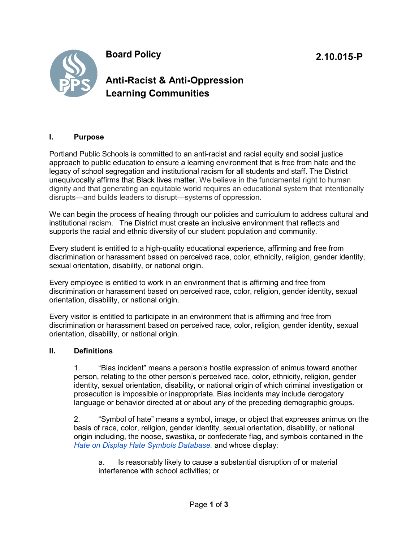**Board Policy**



## **I. Purpose**

Portland Public Schools is committed to an anti-racist and racial equity and social justice approach to public education to ensure a learning environment that is free from hate and the legacy of school segregation and institutional racism for all students and staff. The District unequivocally affirms that Black lives matter. We believe in the fundamental right to human dignity and that generating an equitable world requires an educational system that intentionally disrupts—and builds leaders to disrupt—systems of oppression.

We can begin the process of healing through our policies and curriculum to address cultural and institutional racism. The District must create an inclusive environment that reflects and supports the racial and ethnic diversity of our student population and community.

Every student is entitled to a high-quality educational experience, affirming and free from discrimination or harassment based on perceived race, color, ethnicity, religion, gender identity, sexual orientation, disability, or national origin.

Every employee is entitled to work in an environment that is affirming and free from discrimination or harassment based on perceived race, color, religion, gender identity, sexual orientation, disability, or national origin.

Every visitor is entitled to participate in an environment that is affirming and free from discrimination or harassment based on perceived race, color, religion, gender identity, sexual orientation, disability, or national origin.

## **II. Definitions**

1. "Bias incident" means a person's hostile expression of animus toward another person, relating to the other person's perceived race, color, ethnicity, religion, gender identity, sexual orientation, disability, or national origin of which criminal investigation or prosecution is impossible or inappropriate. Bias incidents may include derogatory language or behavior directed at or about any of the preceding demographic groups.

2. "Symbol of hate" means a symbol, image, or object that expresses animus on the basis of race, color, religion, gender identity, sexual orientation, disability, or national origin including, the noose, swastika, or confederate flag, and symbols contained in the *[Hate on Display Hate](https://www.adl.org/hate-symbols) Symbols Database.* and whose display:

a. Is reasonably likely to cause a substantial disruption of or material interference with school activities; or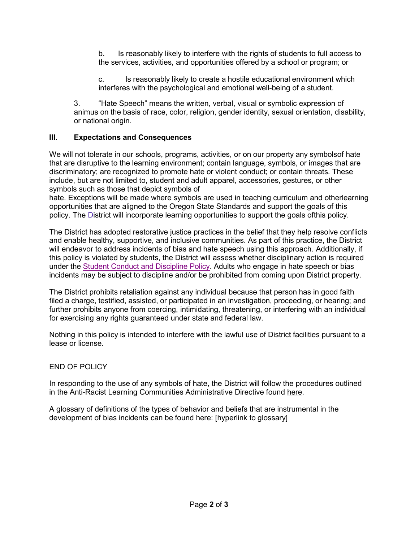b. Is reasonably likely to interfere with the rights of students to full access to the services, activities, and opportunities offered by a school or program; or

c. Is reasonably likely to create a hostile educational environment which interferes with the psychological and emotional well-being of a student.

3. "Hate Speech" means the written, verbal, visual or symbolic expression of animus on the basis of race, color, religion, gender identity, sexual orientation, disability, or national origin.

## **III. Expectations and Consequences**

We will not tolerate in our schools, programs, activities, or on our property any symbolsof hate that are disruptive to the learning environment; contain language, symbols, or images that are discriminatory; are recognized to promote hate or violent conduct; or contain threats. These include, but are not limited to, student and adult apparel, accessories, gestures, or other symbols such as those that depict symbols of

hate. Exceptions will be made where symbols are used in teaching curriculum and otherlearning opportunities that are aligned to the Oregon State Standards and support the goals of this policy. The District will incorporate learning opportunities to support the goals ofthis policy.

The District has adopted restorative justice practices in the belief that they help resolve conflicts and enable healthy, supportive, and inclusive communities. As part of this practice, the District will endeavor to address incidents of bias and hate speech using this approach. Additionally, if this policy is violated by students, the District will assess whether disciplinary action is required under the Student Conduct and [Discipline](https://www.pps.net/cms/lib/OR01913224/Centricity/Domain/4814/4.30.010-P.pdf) Policy. Adults who engage in hate speech or bias incidents may be subject to discipline and/or be prohibited from coming upon District property.

The District prohibits retaliation against any individual because that person has in good faith filed a charge, testified, assisted, or participated in an investigation, proceeding, or hearing; and further prohibits anyone from coercing, intimidating, threatening, or interfering with an individual for exercising any rights guaranteed under state and federal law.

Nothing in this policy is intended to interfere with the lawful use of District facilities pursuant to a lease or license.

## END OF POLICY

In responding to the use of any symbols of hate, the District will follow the procedures outlined in the Anti-Racist Learning Communities Administrative Directive found here.

A glossary of definitions of the types of behavior and beliefs that are instrumental in the development of bias incidents can be found here: [hyperlink to glossary]